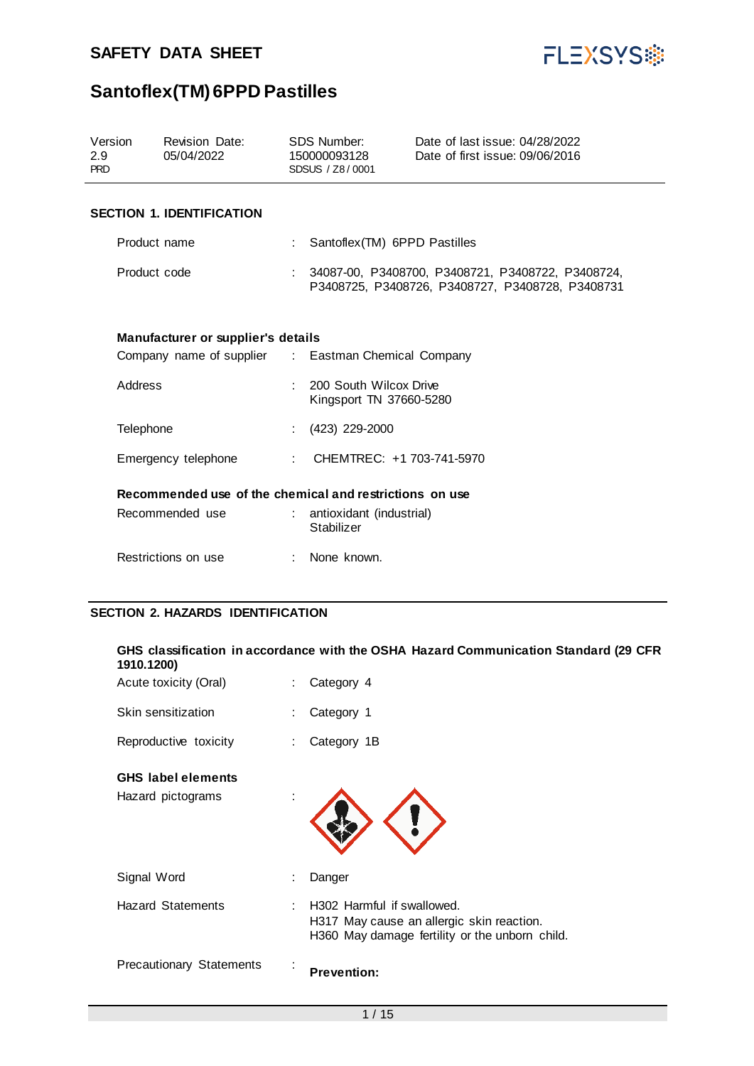

| Version<br>2.9<br><b>PRD</b>                            |                                                                                           | <b>Revision Date:</b><br>05/04/2022      |   | <b>SDS Number:</b><br>150000093128<br>SDSUS / Z8/0001 | Date of last issue: 04/28/2022<br>Date of first issue: 09/06/2016                                     |
|---------------------------------------------------------|-------------------------------------------------------------------------------------------|------------------------------------------|---|-------------------------------------------------------|-------------------------------------------------------------------------------------------------------|
|                                                         |                                                                                           | <b>SECTION 1. IDENTIFICATION</b>         |   |                                                       |                                                                                                       |
|                                                         | Product name                                                                              |                                          |   | Santoflex(TM) 6PPD Pastilles                          |                                                                                                       |
|                                                         | Product code                                                                              |                                          |   |                                                       | 34087-00, P3408700, P3408721, P3408722, P3408724,<br>P3408725, P3408726, P3408727, P3408728, P3408731 |
|                                                         | Manufacturer or supplier's details<br>Company name of supplier : Eastman Chemical Company |                                          |   |                                                       |                                                                                                       |
|                                                         | Address                                                                                   |                                          |   | 200 South Wilcox Drive<br>Kingsport TN 37660-5280     |                                                                                                       |
|                                                         | Telephone                                                                                 |                                          |   | (423) 229-2000                                        |                                                                                                       |
|                                                         |                                                                                           | Emergency telephone                      | ÷ | CHEMTREC: +1 703-741-5970                             |                                                                                                       |
| Recommended use of the chemical and restrictions on use |                                                                                           |                                          |   |                                                       |                                                                                                       |
|                                                         |                                                                                           | Recommended use                          |   | antioxidant (industrial)<br>Stabilizer                |                                                                                                       |
|                                                         |                                                                                           | Restrictions on use                      |   | None known.                                           |                                                                                                       |
|                                                         |                                                                                           | <b>SECTION 2. HAZARDS IDENTIFICATION</b> |   |                                                       |                                                                                                       |

| 1910.1200)                                     | GHS classification in accordance with the OSHA Hazard Communication Standard (29 CFR                                        |
|------------------------------------------------|-----------------------------------------------------------------------------------------------------------------------------|
| Acute toxicity (Oral)                          | Category 4                                                                                                                  |
| Skin sensitization                             | Category 1                                                                                                                  |
| Reproductive toxicity                          | Category 1B                                                                                                                 |
| <b>GHS</b> label elements<br>Hazard pictograms |                                                                                                                             |
| Signal Word                                    | Danger                                                                                                                      |
| <b>Hazard Statements</b>                       | : H302 Harmful if swallowed.<br>H317 May cause an allergic skin reaction.<br>H360 May damage fertility or the unborn child. |
| <b>Precautionary Statements</b>                | <b>Prevention:</b>                                                                                                          |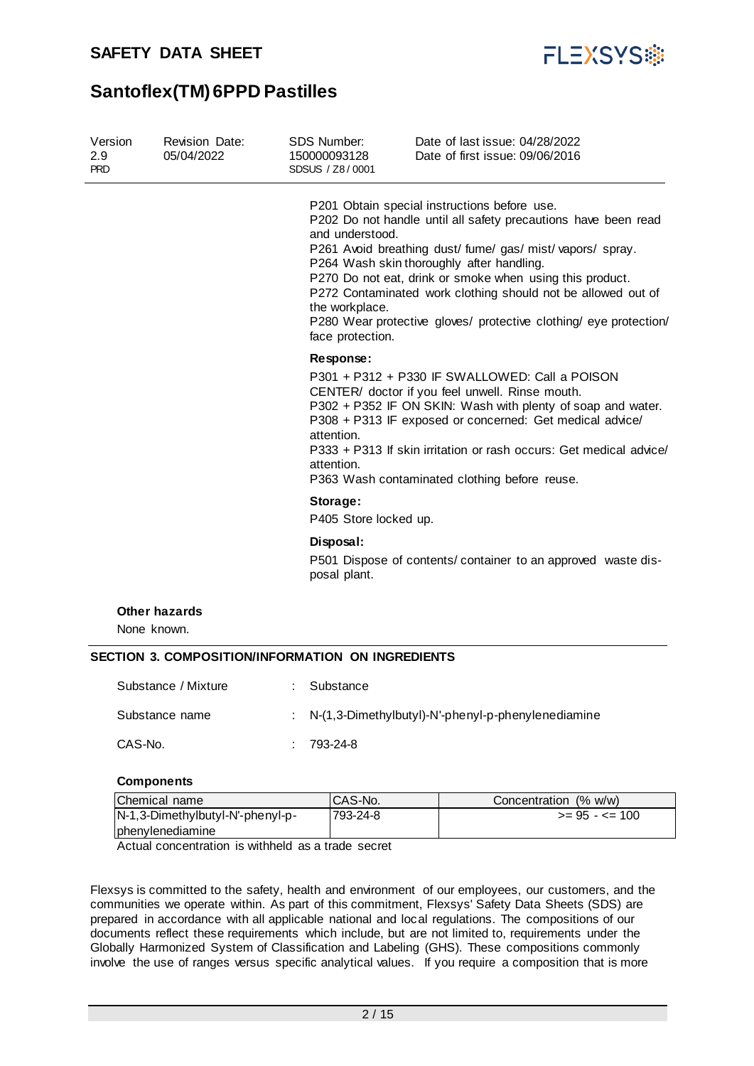

| Version<br>2.9<br><b>PRD</b> | <b>Revision Date:</b><br>05/04/2022                      | <b>SDS Number:</b><br>150000093128<br>SDSUS / Z8/0001 | Date of last issue: 04/28/2022<br>Date of first issue: 09/06/2016                                                                                                                                                                                                                                                                                                                                                          |
|------------------------------|----------------------------------------------------------|-------------------------------------------------------|----------------------------------------------------------------------------------------------------------------------------------------------------------------------------------------------------------------------------------------------------------------------------------------------------------------------------------------------------------------------------------------------------------------------------|
|                              |                                                          | and understood.<br>the workplace.<br>face protection. | P201 Obtain special instructions before use.<br>P202 Do not handle until all safety precautions have been read<br>P261 Avoid breathing dust/ fume/ gas/ mist/ vapors/ spray.<br>P264 Wash skin thoroughly after handling.<br>P270 Do not eat, drink or smoke when using this product.<br>P272 Contaminated work clothing should not be allowed out of<br>P280 Wear protective gloves/ protective clothing/ eye protection/ |
|                              |                                                          | Response:<br>attention.<br>attention.                 | P301 + P312 + P330 IF SWALLOWED: Call a POISON<br>CENTER/ doctor if you feel unwell. Rinse mouth.<br>P302 + P352 IF ON SKIN: Wash with plenty of soap and water.<br>P308 + P313 IF exposed or concerned: Get medical advice/<br>P333 + P313 If skin irritation or rash occurs: Get medical advice/<br>P363 Wash contaminated clothing before reuse.                                                                        |
|                              |                                                          | Storage:<br>P405 Store locked up.                     |                                                                                                                                                                                                                                                                                                                                                                                                                            |
|                              |                                                          | Disposal:<br>posal plant.                             | P501 Dispose of contents/ container to an approved waste dis-                                                                                                                                                                                                                                                                                                                                                              |
|                              | <b>Other hazards</b><br>None known.                      |                                                       |                                                                                                                                                                                                                                                                                                                                                                                                                            |
|                              | <b>SECTION 3. COMPOSITION/INFORMATION ON INGREDIENTS</b> |                                                       |                                                                                                                                                                                                                                                                                                                                                                                                                            |
|                              | Substance / Mixture                                      | Substance                                             |                                                                                                                                                                                                                                                                                                                                                                                                                            |
|                              | Substance name                                           |                                                       | N-(1,3-Dimethylbutyl)-N'-phenyl-p-phenylenediamine                                                                                                                                                                                                                                                                                                                                                                         |

CAS-No. : 793-24-8

#### **Components**

| Chemical name                    | ICAS-No. | Concentration (% w/w) |
|----------------------------------|----------|-----------------------|
| N-1,3-Dimethylbutyl-N'-phenyl-p- | 793-24-8 | $>= 95 - 5 = 100$     |
| <b>I</b> phenylenediamine        |          |                       |

Actual concentration is withheld as a trade secret

Flexsys is committed to the safety, health and environment of our employees, our customers, and the communities we operate within. As part of this commitment, Flexsys' Safety Data Sheets (SDS) are prepared in accordance with all applicable national and local regulations. The compositions of our documents reflect these requirements which include, but are not limited to, requirements under the Globally Harmonized System of Classification and Labeling (GHS). These compositions commonly involve the use of ranges versus specific analytical values. If you require a composition that is more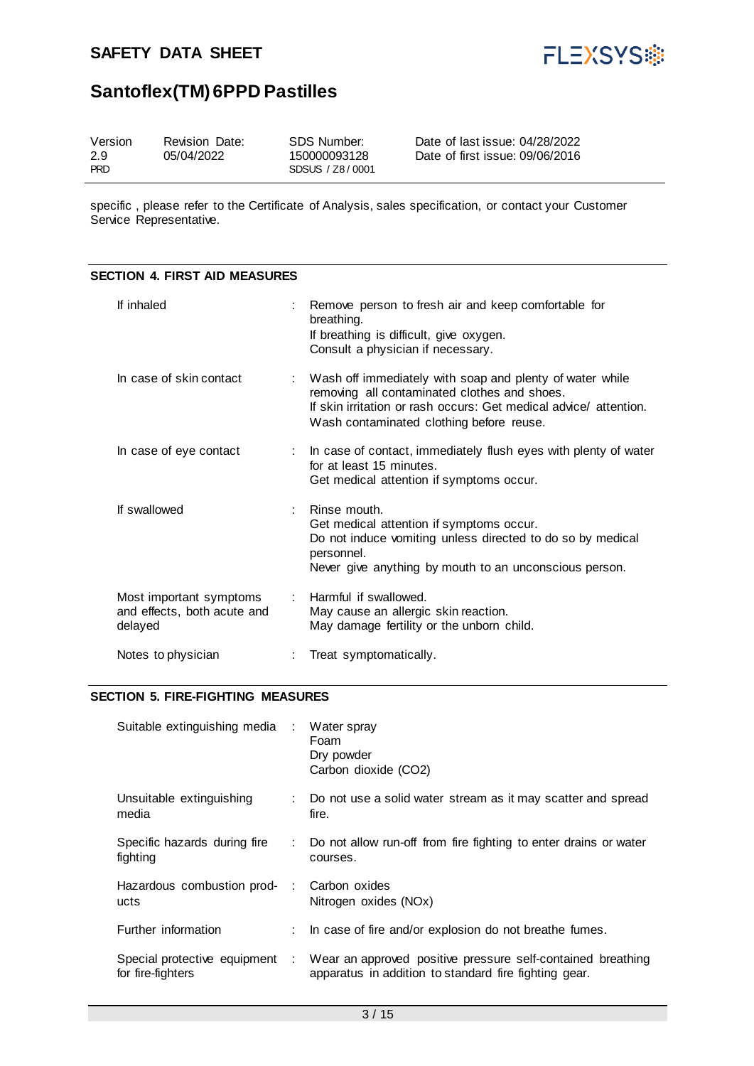

## **Santoflex(TM) 6PPD Pastilles**

| Version<br>2.9<br><b>PRD</b> | Revision Date:<br>05/04/2022 | SDS Number:<br>150000093128<br>SDSUS / Z8/0001 | Date of last issue: 04/28/2022<br>Date of first issue: 09/06/2016 |
|------------------------------|------------------------------|------------------------------------------------|-------------------------------------------------------------------|
|------------------------------|------------------------------|------------------------------------------------|-------------------------------------------------------------------|

specific , please refer to the Certificate of Analysis, sales specification, or contact your Customer Service Representative.

#### **SECTION 4. FIRST AID MEASURES**

| If inhaled                                                        | Remove person to fresh air and keep comfortable for<br>breathing.<br>If breathing is difficult, give oxygen.<br>Consult a physician if necessary.                                                                           |
|-------------------------------------------------------------------|-----------------------------------------------------------------------------------------------------------------------------------------------------------------------------------------------------------------------------|
| In case of skin contact                                           | : Wash off immediately with soap and plenty of water while<br>removing all contaminated clothes and shoes.<br>If skin irritation or rash occurs: Get medical advice/ attention.<br>Wash contaminated clothing before reuse. |
| In case of eye contact                                            | : In case of contact, immediately flush eyes with plenty of water<br>for at least 15 minutes.<br>Get medical attention if symptoms occur.                                                                                   |
| If swallowed                                                      | Rinse mouth.<br>Get medical attention if symptoms occur.<br>Do not induce vomiting unless directed to do so by medical<br>personnel.<br>Never give anything by mouth to an unconscious person.                              |
| Most important symptoms<br>and effects, both acute and<br>delayed | : Harmful if swallowed.<br>May cause an allergic skin reaction.<br>May damage fertility or the unborn child.                                                                                                                |
| Notes to physician                                                | Treat symptomatically.                                                                                                                                                                                                      |

#### **SECTION 5. FIRE-FIGHTING MEASURES**

| Suitable extinguishing media                        | $\sim$ | Water spray<br>Foam<br>Dry powder<br>Carbon dioxide (CO2)                                                            |
|-----------------------------------------------------|--------|----------------------------------------------------------------------------------------------------------------------|
| Unsuitable extinguishing<br>media                   |        | Do not use a solid water stream as it may scatter and spread<br>fire.                                                |
| Specific hazards during fire<br>fighting            |        | : Do not allow run-off from fire fighting to enter drains or water<br>courses.                                       |
| Hazardous combustion prod-<br>ucts                  |        | Carbon oxides<br>Nitrogen oxides (NOx)                                                                               |
| Further information                                 |        | : In case of fire and/or explosion do not breathe fumes.                                                             |
| Special protective equipment :<br>for fire-fighters |        | Wear an approved positive pressure self-contained breathing<br>apparatus in addition to standard fire fighting gear. |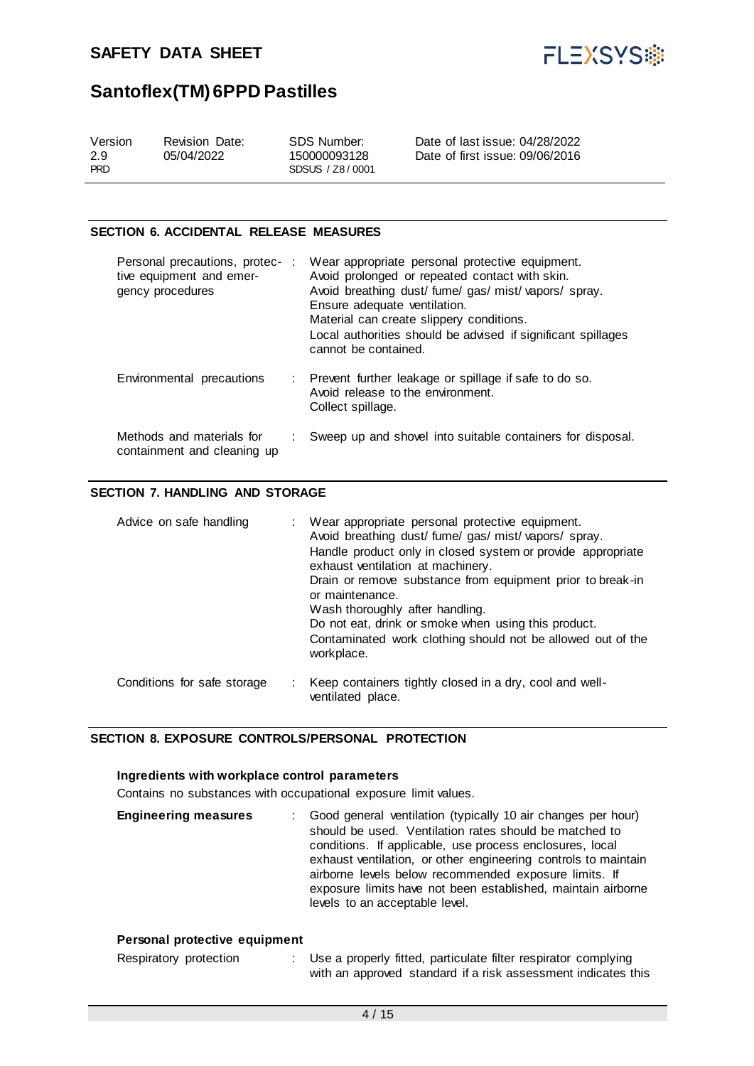

#### **SECTION 6. ACCIDENTAL RELEASE MEASURES**

| Personal precautions, protec-:<br>tive equipment and emer-<br>gency procedures | Wear appropriate personal protective equipment.<br>Avoid prolonged or repeated contact with skin.<br>Avoid breathing dust/fume/gas/mist/vapors/spray.<br>Ensure adequate ventilation.<br>Material can create slippery conditions.<br>Local authorities should be advised if significant spillages<br>cannot be contained. |
|--------------------------------------------------------------------------------|---------------------------------------------------------------------------------------------------------------------------------------------------------------------------------------------------------------------------------------------------------------------------------------------------------------------------|
| Environmental precautions                                                      | : Prevent further leakage or spillage if safe to do so.<br>Avoid release to the environment.<br>Collect spillage.                                                                                                                                                                                                         |
| Methods and materials for<br>containment and cleaning up                       | Sweep up and shovel into suitable containers for disposal.                                                                                                                                                                                                                                                                |

#### **SECTION 7. HANDLING AND STORAGE**

| Advice on safe handling     | : Wear appropriate personal protective equipment.<br>Avoid breathing dust/ fume/ gas/ mist/ vapors/ spray.<br>Handle product only in closed system or provide appropriate<br>exhaust ventilation at machinery.<br>Drain or remove substance from equipment prior to break-in<br>or maintenance.<br>Wash thoroughly after handling.<br>Do not eat, drink or smoke when using this product.<br>Contaminated work clothing should not be allowed out of the<br>workplace. |
|-----------------------------|------------------------------------------------------------------------------------------------------------------------------------------------------------------------------------------------------------------------------------------------------------------------------------------------------------------------------------------------------------------------------------------------------------------------------------------------------------------------|
| Conditions for safe storage | Keep containers tightly closed in a dry, cool and well-<br>ventilated place.                                                                                                                                                                                                                                                                                                                                                                                           |

#### **SECTION 8. EXPOSURE CONTROLS/PERSONAL PROTECTION**

#### **Ingredients with workplace control parameters**

Contains no substances with occupational exposure limit values.

| <b>Engineering measures</b> | : Good general ventilation (typically 10 air changes per hour)<br>should be used. Ventilation rates should be matched to<br>conditions. If applicable, use process enclosures, local<br>exhaust ventilation, or other engineering controls to maintain<br>airborne levels below recommended exposure limits. If<br>exposure limits have not been established, maintain airborne<br>levels to an acceptable level. |
|-----------------------------|-------------------------------------------------------------------------------------------------------------------------------------------------------------------------------------------------------------------------------------------------------------------------------------------------------------------------------------------------------------------------------------------------------------------|
|-----------------------------|-------------------------------------------------------------------------------------------------------------------------------------------------------------------------------------------------------------------------------------------------------------------------------------------------------------------------------------------------------------------------------------------------------------------|

#### **Personal protective equipment**

| Respiratory protection | Use a properly fitted, particulate filter respirator complying |
|------------------------|----------------------------------------------------------------|
|                        | with an approved standard if a risk assessment indicates this  |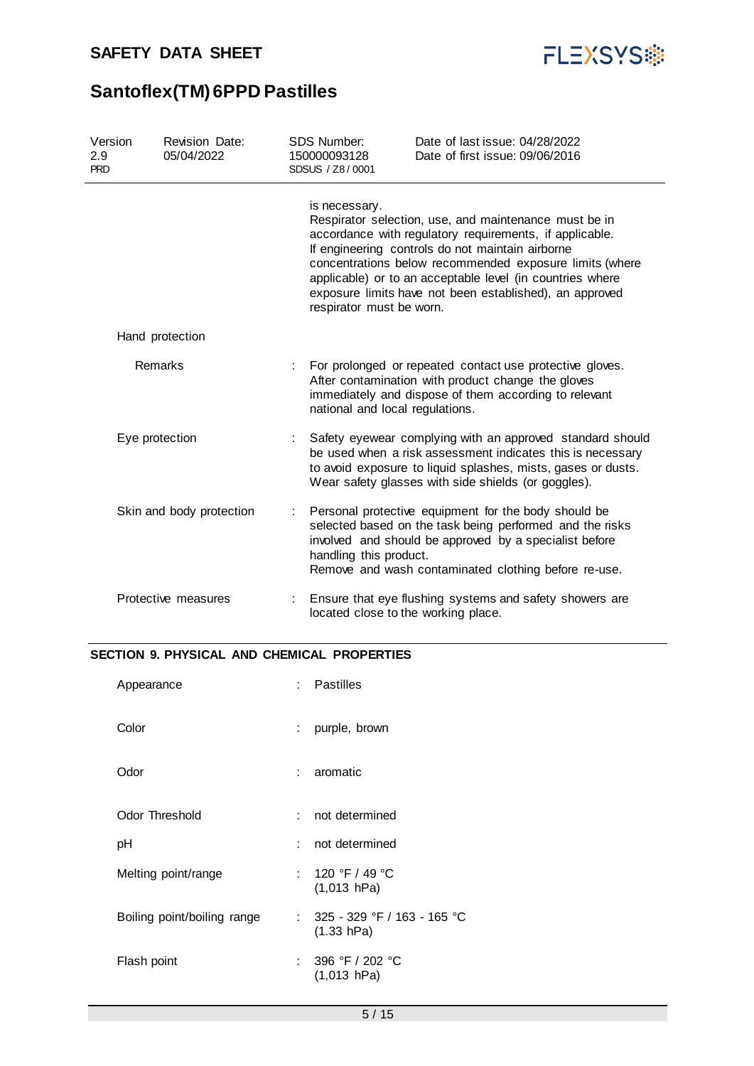

| Version<br>2.9<br><b>PRD</b> | <b>Revision Date:</b><br>05/04/2022 | <b>SDS Number:</b><br>150000093128<br>SDSUS / Z8/0001 |                                                                                                                                                                                                                                                              | Date of last issue: 04/28/2022<br>Date of first issue: 09/06/2016                                                                                                                                                                                                                                                                                       |
|------------------------------|-------------------------------------|-------------------------------------------------------|--------------------------------------------------------------------------------------------------------------------------------------------------------------------------------------------------------------------------------------------------------------|---------------------------------------------------------------------------------------------------------------------------------------------------------------------------------------------------------------------------------------------------------------------------------------------------------------------------------------------------------|
|                              |                                     |                                                       | is necessary.<br>respirator must be worn.                                                                                                                                                                                                                    | Respirator selection, use, and maintenance must be in<br>accordance with regulatory requirements, if applicable.<br>If engineering controls do not maintain airborne<br>concentrations below recommended exposure limits (where<br>applicable) or to an acceptable level (in countries where<br>exposure limits have not been established), an approved |
|                              | Hand protection                     |                                                       |                                                                                                                                                                                                                                                              |                                                                                                                                                                                                                                                                                                                                                         |
|                              | Remarks                             | ÷                                                     | national and local regulations.                                                                                                                                                                                                                              | For prolonged or repeated contact use protective gloves.<br>After contamination with product change the gloves<br>immediately and dispose of them according to relevant                                                                                                                                                                                 |
| Eye protection               |                                     |                                                       | Safety eyewear complying with an approved standard should<br>be used when a risk assessment indicates this is necessary<br>to avoid exposure to liquid splashes, mists, gases or dusts.<br>Wear safety glasses with side shields (or goggles).               |                                                                                                                                                                                                                                                                                                                                                         |
| Skin and body protection     |                                     |                                                       | Personal protective equipment for the body should be<br>selected based on the task being performed and the risks<br>involved and should be approved by a specialist before<br>handling this product.<br>Remove and wash contaminated clothing before re-use. |                                                                                                                                                                                                                                                                                                                                                         |
|                              | Protective measures                 |                                                       |                                                                                                                                                                                                                                                              | Ensure that eye flushing systems and safety showers are<br>located close to the working place.                                                                                                                                                                                                                                                          |

### **SECTION 9. PHYSICAL AND CHEMICAL PROPERTIES**

|        | : Pastilles                               |
|--------|-------------------------------------------|
| $\sim$ | purple, brown                             |
|        | : aromatic                                |
| × 1    | not determined                            |
|        | : not determined                          |
|        | : 120 °F / 49 °C<br>$(1,013$ hPa)         |
| t.     | 325 - 329 °F / 163 - 165 °C<br>(1.33 hPa) |
|        | : 396 °F / 202 °C<br>$(1,013$ hPa)        |
|        |                                           |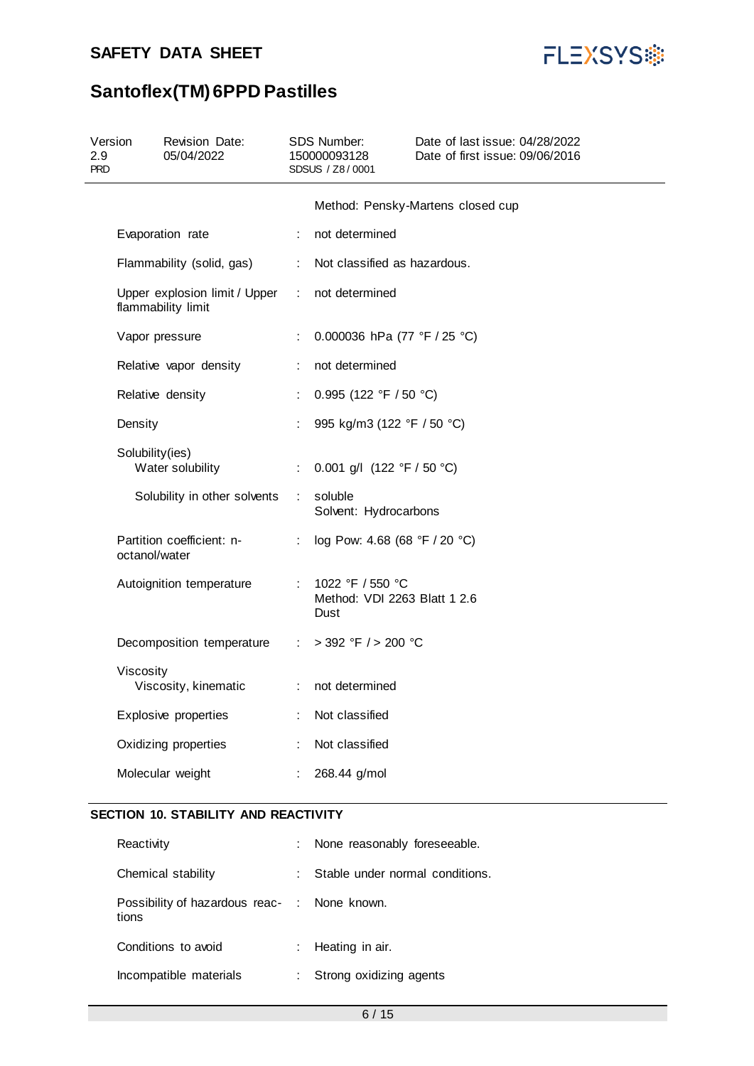

## **Santoflex(TM) 6PPD Pastilles**

| Revision Date:<br>05/04/2022                        | SDS Number:<br>150000093128<br>SDSUS / Z8/0001                                                                                                                                                                                                                                                                                                                                     |                                                          | Date of last issue: 04/28/2022<br>Date of first issue: 09/06/2016                                                                                                                                                                     |
|-----------------------------------------------------|------------------------------------------------------------------------------------------------------------------------------------------------------------------------------------------------------------------------------------------------------------------------------------------------------------------------------------------------------------------------------------|----------------------------------------------------------|---------------------------------------------------------------------------------------------------------------------------------------------------------------------------------------------------------------------------------------|
|                                                     |                                                                                                                                                                                                                                                                                                                                                                                    |                                                          | Method: Pensky-Martens closed cup                                                                                                                                                                                                     |
|                                                     | ÷                                                                                                                                                                                                                                                                                                                                                                                  | not determined                                           |                                                                                                                                                                                                                                       |
|                                                     | ÷                                                                                                                                                                                                                                                                                                                                                                                  |                                                          |                                                                                                                                                                                                                                       |
| Upper explosion limit / Upper<br>flammability limit |                                                                                                                                                                                                                                                                                                                                                                                    | not determined                                           |                                                                                                                                                                                                                                       |
|                                                     | ÷                                                                                                                                                                                                                                                                                                                                                                                  |                                                          |                                                                                                                                                                                                                                       |
|                                                     | ÷                                                                                                                                                                                                                                                                                                                                                                                  | not determined                                           |                                                                                                                                                                                                                                       |
|                                                     | ÷.                                                                                                                                                                                                                                                                                                                                                                                 |                                                          |                                                                                                                                                                                                                                       |
|                                                     |                                                                                                                                                                                                                                                                                                                                                                                    |                                                          |                                                                                                                                                                                                                                       |
|                                                     |                                                                                                                                                                                                                                                                                                                                                                                    |                                                          |                                                                                                                                                                                                                                       |
|                                                     |                                                                                                                                                                                                                                                                                                                                                                                    | soluble                                                  |                                                                                                                                                                                                                                       |
|                                                     | ÷                                                                                                                                                                                                                                                                                                                                                                                  |                                                          |                                                                                                                                                                                                                                       |
|                                                     |                                                                                                                                                                                                                                                                                                                                                                                    | 1022 °F / 550 °C<br>Method: VDI 2263 Blatt 1 2.6<br>Dust |                                                                                                                                                                                                                                       |
|                                                     | ÷.                                                                                                                                                                                                                                                                                                                                                                                 |                                                          |                                                                                                                                                                                                                                       |
|                                                     | ÷                                                                                                                                                                                                                                                                                                                                                                                  | not determined                                           |                                                                                                                                                                                                                                       |
|                                                     | ÷                                                                                                                                                                                                                                                                                                                                                                                  | Not classified                                           |                                                                                                                                                                                                                                       |
|                                                     |                                                                                                                                                                                                                                                                                                                                                                                    | Not classified                                           |                                                                                                                                                                                                                                       |
|                                                     |                                                                                                                                                                                                                                                                                                                                                                                    | 268.44 g/mol                                             |                                                                                                                                                                                                                                       |
|                                                     | Evaporation rate<br>Flammability (solid, gas)<br>Vapor pressure<br>Relative vapor density<br>Relative density<br>Density<br>Solubility(ies)<br>Water solubility<br>Solubility in other solvents<br>Partition coefficient: n-<br>octanol/water<br>Autoignition temperature<br>Viscosity<br>Viscosity, kinematic<br>Explosive properties<br>Oxidizing properties<br>Molecular weight | ÷<br>Decomposition temperature                           | Not classified as hazardous.<br>0.000036 hPa (77 °F / 25 °C)<br>0.995 (122 °F / 50 °C)<br>995 kg/m3 (122 °F / 50 °C)<br>0.001 g/l $(122 °F / 50 °C)$<br>Solvent: Hydrocarbons<br>log Pow: 4.68 (68 °F / 20 °C)<br>> 392 °F / > 200 °C |

### **SECTION 10. STABILITY AND REACTIVITY**

| Reactivity                                            |    | : None reasonably foreseeable.  |
|-------------------------------------------------------|----|---------------------------------|
| Chemical stability                                    | t. | Stable under normal conditions. |
| Possibility of hazardous reac- : None known.<br>tions |    |                                 |
| Conditions to avoid                                   |    | : Heating in air.               |
| Incompatible materials                                | t. | Strong oxidizing agents         |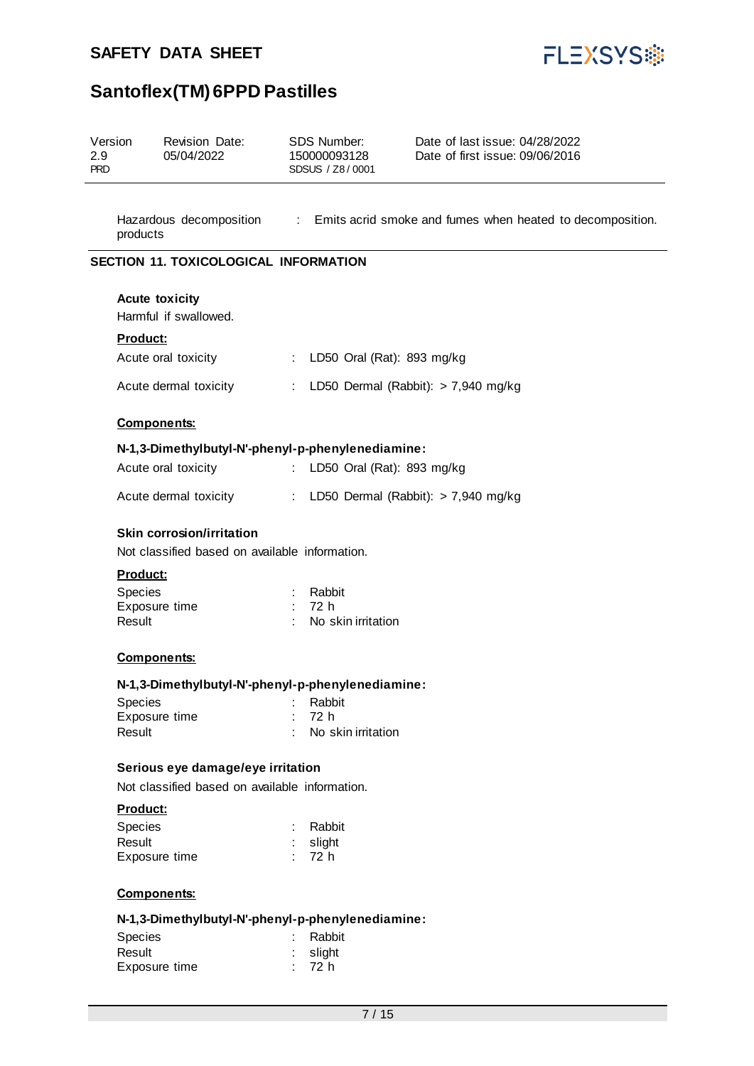

| Version<br>2.9<br><b>PRD</b> | <b>Revision Date:</b><br>05/04/2022                                                                 | SDS Number:<br>Date of last issue: 04/28/2022<br>Date of first issue: 09/06/2016<br>150000093128<br>SDSUS / Z8/0001 |  |  |
|------------------------------|-----------------------------------------------------------------------------------------------------|---------------------------------------------------------------------------------------------------------------------|--|--|
| products                     |                                                                                                     | Hazardous decomposition : Emits acrid smoke and fumes when heated to decomposition.                                 |  |  |
|                              | SECTION 11. TOXICOLOGICAL INFORMATION                                                               |                                                                                                                     |  |  |
|                              | <b>Acute toxicity</b><br>Harmful if swallowed.                                                      |                                                                                                                     |  |  |
| Product:                     |                                                                                                     |                                                                                                                     |  |  |
|                              | Acute oral toxicity                                                                                 | : LD50 Oral (Rat): 893 mg/kg                                                                                        |  |  |
|                              | Acute dermal toxicity                                                                               | : LD50 Dermal (Rabbit): $> 7,940$ mg/kg                                                                             |  |  |
|                              | <b>Components:</b>                                                                                  |                                                                                                                     |  |  |
|                              |                                                                                                     | N-1,3-Dimethylbutyl-N'-phenyl-p-phenylenediamine:                                                                   |  |  |
|                              | Acute oral toxicity                                                                                 | : LD50 Oral (Rat): 893 mg/kg                                                                                        |  |  |
|                              | Acute dermal toxicity                                                                               | : LD50 Dermal (Rabbit): > 7,940 mg/kg                                                                               |  |  |
| <b>Product:</b><br>Species   | <b>Skin corrosion/irritation</b><br>Not classified based on available information.<br>Exposure time | Rabbit<br>72 h                                                                                                      |  |  |
| Result                       |                                                                                                     | No skin irritation                                                                                                  |  |  |
|                              | <b>Components:</b>                                                                                  |                                                                                                                     |  |  |
|                              |                                                                                                     | N-1,3-Dimethylbutyl-N'-phenyl-p-phenylenediamine:                                                                   |  |  |
| Species<br>Result            | Exposure time                                                                                       | Rabbit<br>72 h<br>No skin irritation                                                                                |  |  |
|                              | Serious eye damage/eye irritation                                                                   |                                                                                                                     |  |  |
|                              | Not classified based on available information.                                                      |                                                                                                                     |  |  |
| <b>Product:</b>              |                                                                                                     |                                                                                                                     |  |  |
| Species<br>Result            | Exposure time                                                                                       | Rabbit<br>slight<br>72 h                                                                                            |  |  |
|                              | <b>Components:</b>                                                                                  |                                                                                                                     |  |  |
|                              |                                                                                                     | N-1,3-Dimethylbutyl-N'-phenyl-p-phenylenediamine:                                                                   |  |  |

| <b>Species</b> | : Rabbit   |
|----------------|------------|
| Result         | $:$ slight |
| Exposure time  | : 72 h     |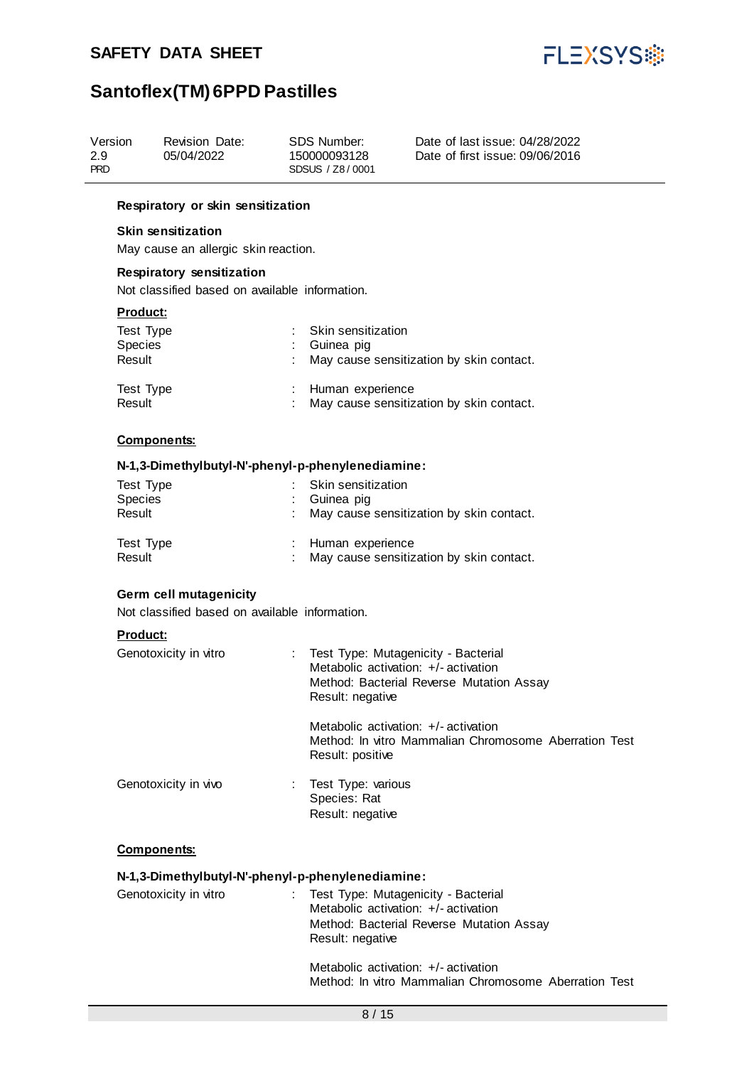

## **Santoflex(TM) 6PPD Pastilles**

| Version<br>2.9<br>PRD | Revision Date:<br>05/04/2022 | SDS Number:<br>150000093128<br>SDSUS / Z8/0001 | Date of last issue: 04/28/2022<br>Date of first issue: 09/06/2016 |
|-----------------------|------------------------------|------------------------------------------------|-------------------------------------------------------------------|
|-----------------------|------------------------------|------------------------------------------------|-------------------------------------------------------------------|

#### **Respiratory or skin sensitization**

#### **Skin sensitization**

May cause an allergic skin reaction.

#### **Respiratory sensitization**

Not classified based on available information.

#### **Product:**

| Test Type<br><b>Species</b><br>Result | : Skin sensitization<br>: Guinea pig<br>: May cause sensitization by skin contact. |
|---------------------------------------|------------------------------------------------------------------------------------|
| Test Type<br>Result                   | : Human experience<br>: May cause sensitization by skin contact.                   |

#### **Components:**

#### **N-1,3-Dimethylbutyl-N'-phenyl-p-phenylenediamine:**

| Test Type<br><b>Species</b><br>Result | : Skin sensitization<br>: Guinea pig<br>: May cause sensitization by skin contact. |
|---------------------------------------|------------------------------------------------------------------------------------|
| Test Type<br>Result                   | : Human experience<br>: May cause sensitization by skin contact.                   |

#### **Germ cell mutagenicity**

Not classified based on available information.

#### **Product:**

| Genotoxicity in vitro | : Test Type: Mutagenicity - Bacterial<br>Metabolic activation: +/- activation<br>Method: Bacterial Reverse Mutation Assay<br>Result: negative |
|-----------------------|-----------------------------------------------------------------------------------------------------------------------------------------------|
|                       | Metabolic activation: +/- activation<br>Method: In vitro Mammalian Chromosome Aberration Test<br>Result: positive                             |
| Genotoxicity in vivo  | Test Type: various<br>Species: Rat<br>Result: negative                                                                                        |

#### **Components:**

#### **N-1,3-Dimethylbutyl-N'-phenyl-p-phenylenediamine:**

| Genotoxicity in vitro | : Test Type: Mutagenicity - Bacterial    |
|-----------------------|------------------------------------------|
|                       | Metabolic activation: +/- activation     |
|                       | Method: Bacterial Reverse Mutation Assay |
|                       | Result: negative                         |
|                       |                                          |

Metabolic activation: +/- activation Method: In vitro Mammalian Chromosome Aberration Test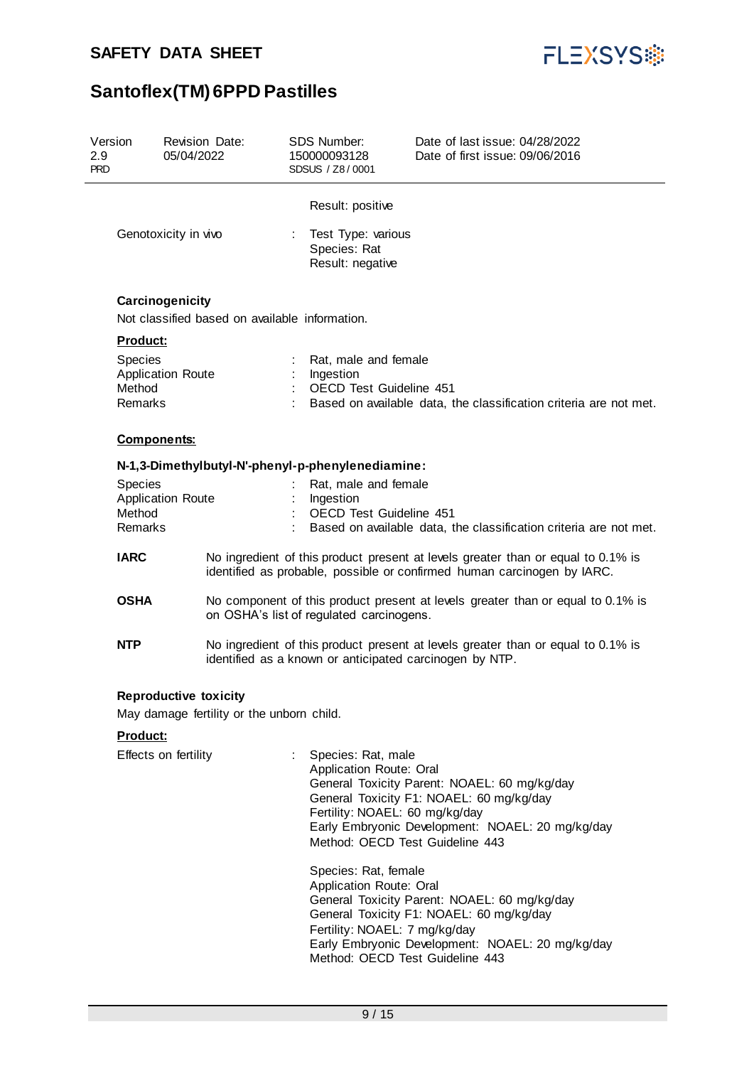

| Version<br>2.9<br><b>PRD</b> |                                                                           | Revision Date:<br>05/04/2022                                      |                                                                                                                                                             | <b>SDS Number:</b><br>150000093128<br>SDSUS / Z8/0001                                                                                                                                                                                     | Date of last issue: 04/28/2022<br>Date of first issue: 09/06/2016                                                                                                                                                                                                                            |  |  |
|------------------------------|---------------------------------------------------------------------------|-------------------------------------------------------------------|-------------------------------------------------------------------------------------------------------------------------------------------------------------|-------------------------------------------------------------------------------------------------------------------------------------------------------------------------------------------------------------------------------------------|----------------------------------------------------------------------------------------------------------------------------------------------------------------------------------------------------------------------------------------------------------------------------------------------|--|--|
|                              |                                                                           | Genotoxicity in vivo                                              |                                                                                                                                                             | Result: positive<br>Test Type: various<br>Species: Rat<br>Result: negative                                                                                                                                                                |                                                                                                                                                                                                                                                                                              |  |  |
|                              |                                                                           | Carcinogenicity<br>Not classified based on available information. |                                                                                                                                                             |                                                                                                                                                                                                                                           |                                                                                                                                                                                                                                                                                              |  |  |
|                              | Product:                                                                  |                                                                   |                                                                                                                                                             |                                                                                                                                                                                                                                           |                                                                                                                                                                                                                                                                                              |  |  |
|                              | <b>Species</b><br>Method<br>Remarks                                       | <b>Application Route</b>                                          |                                                                                                                                                             | Rat, male and female<br>Ingestion<br><b>OECD Test Guideline 451</b>                                                                                                                                                                       | Based on available data, the classification criteria are not met.                                                                                                                                                                                                                            |  |  |
|                              | <b>Components:</b>                                                        |                                                                   |                                                                                                                                                             |                                                                                                                                                                                                                                           |                                                                                                                                                                                                                                                                                              |  |  |
|                              |                                                                           | N-1,3-Dimethylbutyl-N'-phenyl-p-phenylenediamine:                 |                                                                                                                                                             |                                                                                                                                                                                                                                           |                                                                                                                                                                                                                                                                                              |  |  |
|                              | Species                                                                   |                                                                   |                                                                                                                                                             | Rat, male and female                                                                                                                                                                                                                      |                                                                                                                                                                                                                                                                                              |  |  |
|                              | Method                                                                    | <b>Application Route</b>                                          |                                                                                                                                                             | Ingestion<br>OECD Test Guideline 451                                                                                                                                                                                                      |                                                                                                                                                                                                                                                                                              |  |  |
|                              | Remarks                                                                   |                                                                   |                                                                                                                                                             |                                                                                                                                                                                                                                           | Based on available data, the classification criteria are not met.                                                                                                                                                                                                                            |  |  |
|                              | <b>IARC</b><br><b>OSHA</b>                                                |                                                                   | No ingredient of this product present at levels greater than or equal to 0.1% is<br>identified as probable, possible or confirmed human carcinogen by IARC. |                                                                                                                                                                                                                                           |                                                                                                                                                                                                                                                                                              |  |  |
|                              |                                                                           |                                                                   | No component of this product present at levels greater than or equal to 0.1% is<br>on OSHA's list of regulated carcinogens.                                 |                                                                                                                                                                                                                                           |                                                                                                                                                                                                                                                                                              |  |  |
|                              | <b>NTP</b>                                                                |                                                                   | No ingredient of this product present at levels greater than or equal to 0.1% is<br>identified as a known or anticipated carcinogen by NTP.                 |                                                                                                                                                                                                                                           |                                                                                                                                                                                                                                                                                              |  |  |
|                              | <b>Reproductive toxicity</b><br>May damage fertility or the unborn child. |                                                                   |                                                                                                                                                             |                                                                                                                                                                                                                                           |                                                                                                                                                                                                                                                                                              |  |  |
|                              | Product:                                                                  |                                                                   |                                                                                                                                                             |                                                                                                                                                                                                                                           |                                                                                                                                                                                                                                                                                              |  |  |
|                              |                                                                           | Effects on fertility                                              | ÷                                                                                                                                                           | Species: Rat, male<br>Application Route: Oral<br>Fertility: NOAEL: 60 mg/kg/day<br>Method: OECD Test Guideline 443<br>Species: Rat, female<br>Application Route: Oral<br>Fertility: NOAEL: 7 mg/kg/day<br>Method: OECD Test Guideline 443 | General Toxicity Parent: NOAEL: 60 mg/kg/day<br>General Toxicity F1: NOAEL: 60 mg/kg/day<br>Early Embryonic Development: NOAEL: 20 mg/kg/day<br>General Toxicity Parent: NOAEL: 60 mg/kg/day<br>General Toxicity F1: NOAEL: 60 mg/kg/day<br>Early Embryonic Development: NOAEL: 20 mg/kg/day |  |  |
|                              |                                                                           |                                                                   |                                                                                                                                                             |                                                                                                                                                                                                                                           |                                                                                                                                                                                                                                                                                              |  |  |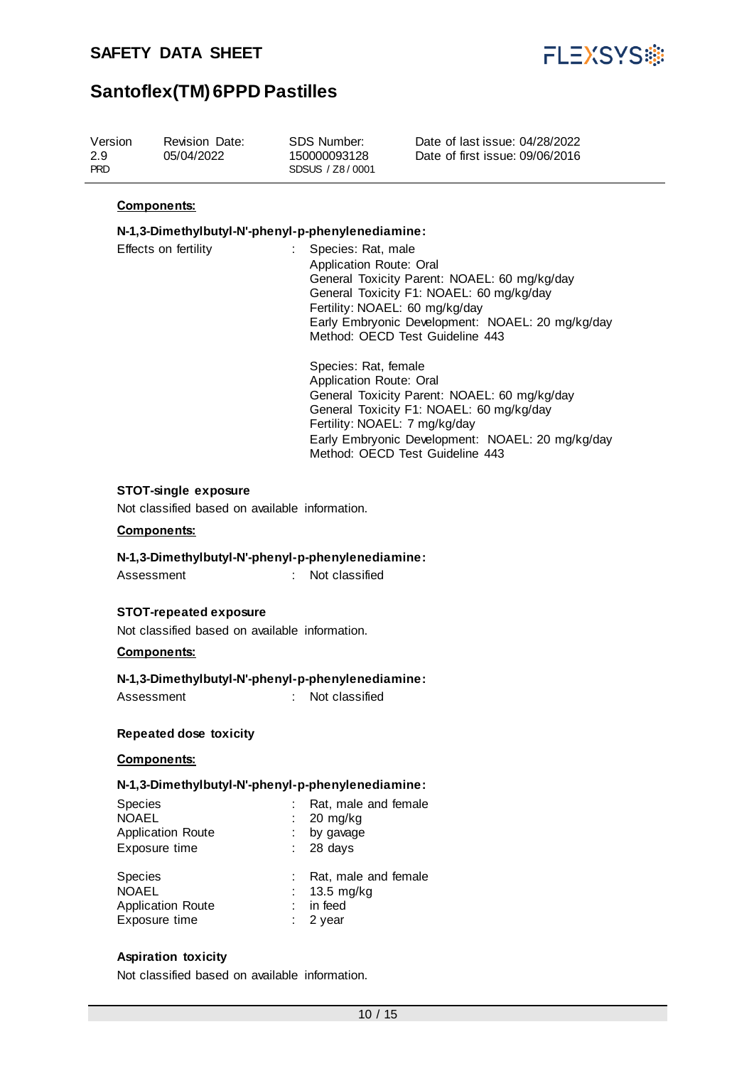

| Version<br>2.9<br><b>PRD</b> | Revision Date:<br>05/04/2022 | SDS Number:<br>150000093128<br>SDSUS / Z8/0001 | Date of last issue: 04/28/2022<br>Date of first issue: 09/06/2016 |
|------------------------------|------------------------------|------------------------------------------------|-------------------------------------------------------------------|
|                              |                              |                                                |                                                                   |

#### **Components:**

#### **N-1,3-Dimethylbutyl-N'-phenyl-p-phenylenediamine:**

| Effects on fertility | : Species: Rat, male                             |
|----------------------|--------------------------------------------------|
|                      | Application Route: Oral                          |
|                      | General Toxicity Parent: NOAEL: 60 mg/kg/day     |
|                      | General Toxicity F1: NOAEL: 60 mg/kg/day         |
|                      | Fertility: NOAEL: 60 mg/kg/day                   |
|                      | Early Embryonic Development: NOAEL: 20 mg/kg/day |
|                      | Method: OECD Test Guideline 443                  |
|                      |                                                  |

Species: Rat, female Application Route: Oral General Toxicity Parent: NOAEL: 60 mg/kg/day General Toxicity F1: NOAEL: 60 mg/kg/day Fertility: NOAEL: 7 mg/kg/day Early Embryonic Development: NOAEL: 20 mg/kg/day Method: OECD Test Guideline 443

#### **STOT-single exposure**

Not classified based on available information.

#### **Components:**

#### **N-1,3-Dimethylbutyl-N'-phenyl-p-phenylenediamine:**

Assessment : Not classified

#### **STOT-repeated exposure**

Not classified based on available information.

#### **Components:**

#### **N-1,3-Dimethylbutyl-N'-phenyl-p-phenylenediamine:**

Assessment : Not classified

#### **Repeated dose toxicity**

#### **Components:**

#### **N-1,3-Dimethylbutyl-N'-phenyl-p-phenylenediamine:**

| <b>Species</b><br><b>NOAEL</b><br><b>Application Route</b><br>Exposure time | Rat, male and female<br>$: 20$ mg/kg<br>by gavage<br>$: 28 \text{ days}$ |
|-----------------------------------------------------------------------------|--------------------------------------------------------------------------|
| <b>Species</b><br><b>NOAEL</b><br><b>Application Route</b><br>Exposure time | Rat, male and female<br>$13.5 \text{ mg/kg}$<br>in feed<br>$: 2$ vear    |

#### **Aspiration toxicity**

Not classified based on available information.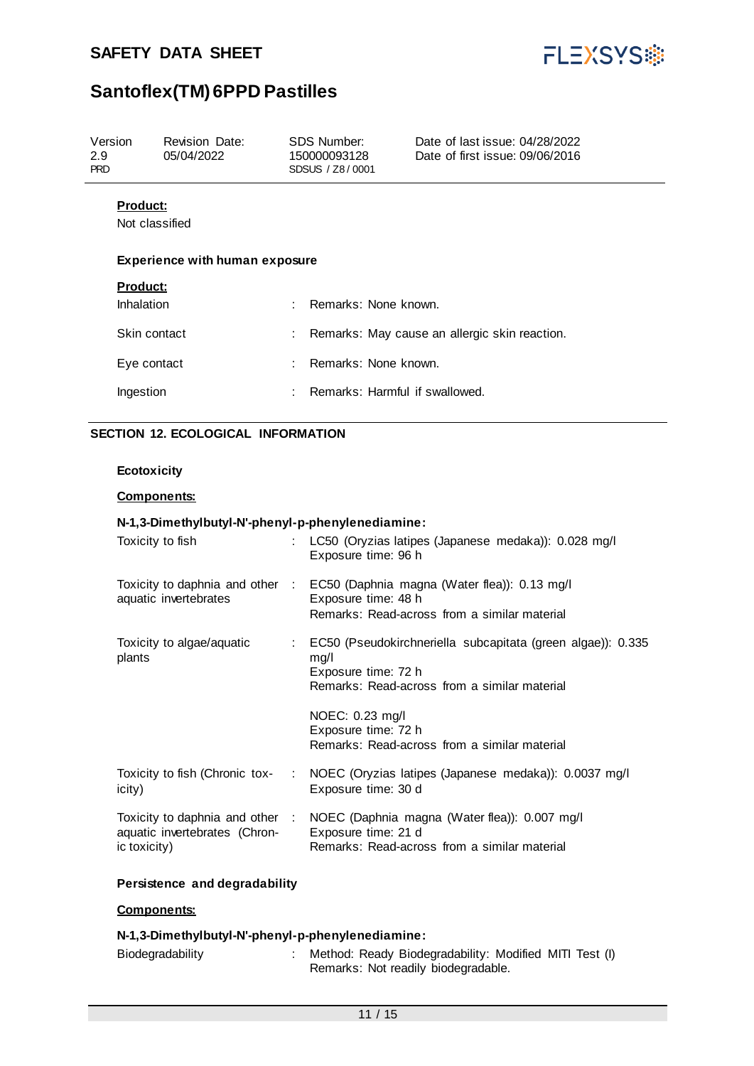

| Version<br>2.9<br><b>PRD</b>  | Revision Date:<br>05/04/2022          |                | SDS Number:<br>150000093128<br>SDSUS / Z8/0001 | Date of last issue: 04/28/2022<br>Date of first issue: 09/06/2016 |
|-------------------------------|---------------------------------------|----------------|------------------------------------------------|-------------------------------------------------------------------|
| <b>Product:</b>               | Not classified                        |                |                                                |                                                                   |
|                               | <b>Experience with human exposure</b> |                |                                                |                                                                   |
| <b>Product:</b><br>Inhalation |                                       | ٠              | Remarks: None known.                           |                                                                   |
|                               | Skin contact                          |                |                                                | Remarks: May cause an allergic skin reaction.                     |
| Eye contact                   |                                       | $\blacksquare$ | Remarks: None known.                           |                                                                   |
| Ingestion                     |                                       | ٠              | Remarks: Harmful if swallowed.                 |                                                                   |
|                               |                                       |                |                                                |                                                                   |

### **SECTION 12. ECOLOGICAL INFORMATION**

#### **Ecotoxicity**

#### **Components:**

#### **N-1,3-Dimethylbutyl-N'-phenyl-p-phenylenediamine:**

| Toxicity to fish                              | LC50 (Oryzias latipes (Japanese medaka)): 0.028 mg/l<br>Exposure time: 96 h                                                                          |  |
|-----------------------------------------------|------------------------------------------------------------------------------------------------------------------------------------------------------|--|
| aquatic invertebrates                         | Toxicity to daphnia and other : EC50 (Daphnia magna (Water flea)): 0.13 mg/l<br>Exposure time: 48 h<br>Remarks: Read-across from a similar material  |  |
| Toxicity to algae/aquatic<br>plants           | : EC50 (Pseudokirchneriella subcapitata (green algae)): 0.335<br>mg/l<br>Exposure time: 72 h<br>Remarks: Read-across from a similar material         |  |
|                                               | NOEC: 0.23 mg/l<br>Exposure time: 72 h<br>Remarks: Read-across from a similar material                                                               |  |
| icity)                                        | Toxicity to fish (Chronic tox- : NOEC (Oryzias latipes (Japanese medaka)): 0.0037 mg/l<br>Exposure time: 30 d                                        |  |
| aquatic invertebrates (Chron-<br>ic toxicity) | Toxicity to daphnia and other : NOEC (Daphnia magna (Water flea)): 0.007 mg/l<br>Exposure time: 21 d<br>Remarks: Read-across from a similar material |  |

#### **Persistence and degradability**

#### **Components:**

#### **N-1,3-Dimethylbutyl-N'-phenyl-p-phenylenediamine:**

| Biodegradability | Method: Ready Biodegradability: Modified MITI Test (I) |
|------------------|--------------------------------------------------------|
|                  | Remarks: Not readily biodegradable.                    |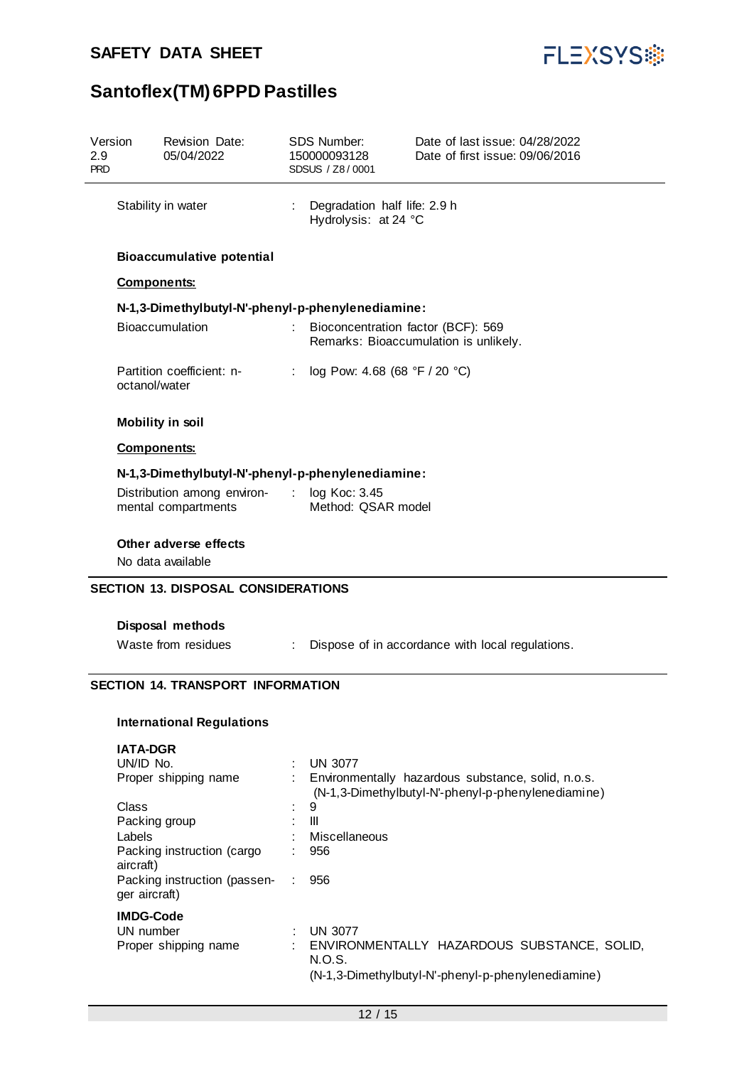

| Version<br>2.9<br><b>PRD</b> |                         | Revision Date:<br>05/04/2022                                                             | <b>SDS Number:</b><br>150000093128<br>SDSUS / Z8/0001 | Date of last issue: 04/28/2022<br>Date of first issue: 09/06/2016                                        |
|------------------------------|-------------------------|------------------------------------------------------------------------------------------|-------------------------------------------------------|----------------------------------------------------------------------------------------------------------|
|                              | Stability in water      |                                                                                          | Degradation half life: 2.9 h<br>Hydrolysis: at 24 °C  |                                                                                                          |
|                              |                         | <b>Bioaccumulative potential</b>                                                         |                                                       |                                                                                                          |
|                              | <b>Components:</b>      |                                                                                          |                                                       |                                                                                                          |
|                              |                         | N-1,3-Dimethylbutyl-N'-phenyl-p-phenylenediamine:                                        |                                                       |                                                                                                          |
|                              |                         | Bioaccumulation                                                                          |                                                       | Bioconcentration factor (BCF): 569<br>Remarks: Bioaccumulation is unlikely.                              |
|                              | octanol/water           | Partition coefficient: n-                                                                | log Pow: 4.68 (68 °F / 20 °C)                         |                                                                                                          |
|                              |                         | <b>Mobility in soil</b>                                                                  |                                                       |                                                                                                          |
|                              | <b>Components:</b>      |                                                                                          |                                                       |                                                                                                          |
|                              |                         | N-1,3-Dimethylbutyl-N'-phenyl-p-phenylenediamine:                                        |                                                       |                                                                                                          |
|                              |                         | Distribution among environ- : log Koc: 3.45<br>mental compartments                       | Method: QSAR model                                    |                                                                                                          |
|                              |                         | Other adverse effects<br>No data available<br><b>SECTION 13. DISPOSAL CONSIDERATIONS</b> |                                                       |                                                                                                          |
|                              |                         |                                                                                          |                                                       |                                                                                                          |
|                              |                         | Disposal methods                                                                         |                                                       |                                                                                                          |
|                              |                         | Waste from residues                                                                      |                                                       | Dispose of in accordance with local regulations.                                                         |
|                              |                         | <b>SECTION 14. TRANSPORT INFORMATION</b>                                                 |                                                       |                                                                                                          |
|                              |                         | <b>International Regulations</b>                                                         |                                                       |                                                                                                          |
|                              | <b>IATA-DGR</b>         |                                                                                          |                                                       |                                                                                                          |
|                              | UN/ID No.               |                                                                                          | <b>UN 3077</b>                                        |                                                                                                          |
|                              |                         | Proper shipping name                                                                     |                                                       | Environmentally hazardous substance, solid, n.o.s.<br>(N-1,3-Dimethylbutyl-N'-phenyl-p-phenylenediamine) |
|                              | Class                   |                                                                                          | 9<br>$\mathbf{III}$                                   |                                                                                                          |
|                              | Packing group<br>Labels |                                                                                          | Miscellaneous                                         |                                                                                                          |
|                              | aircraft)               | Packing instruction (cargo                                                               | 956                                                   |                                                                                                          |
|                              | ger aircraft)           | Packing instruction (passen-                                                             | 956                                                   |                                                                                                          |
|                              | <b>IMDG-Code</b>        |                                                                                          |                                                       |                                                                                                          |
|                              | UN number               |                                                                                          | <b>UN 3077</b>                                        |                                                                                                          |
|                              |                         | Proper shipping name                                                                     | N.O.S.                                                | ENVIRONMENTALLY HAZARDOUS SUBSTANCE, SOLID,                                                              |
|                              |                         |                                                                                          |                                                       | (N-1,3-Dimethylbutyl-N'-phenyl-p-phenylenediamine)                                                       |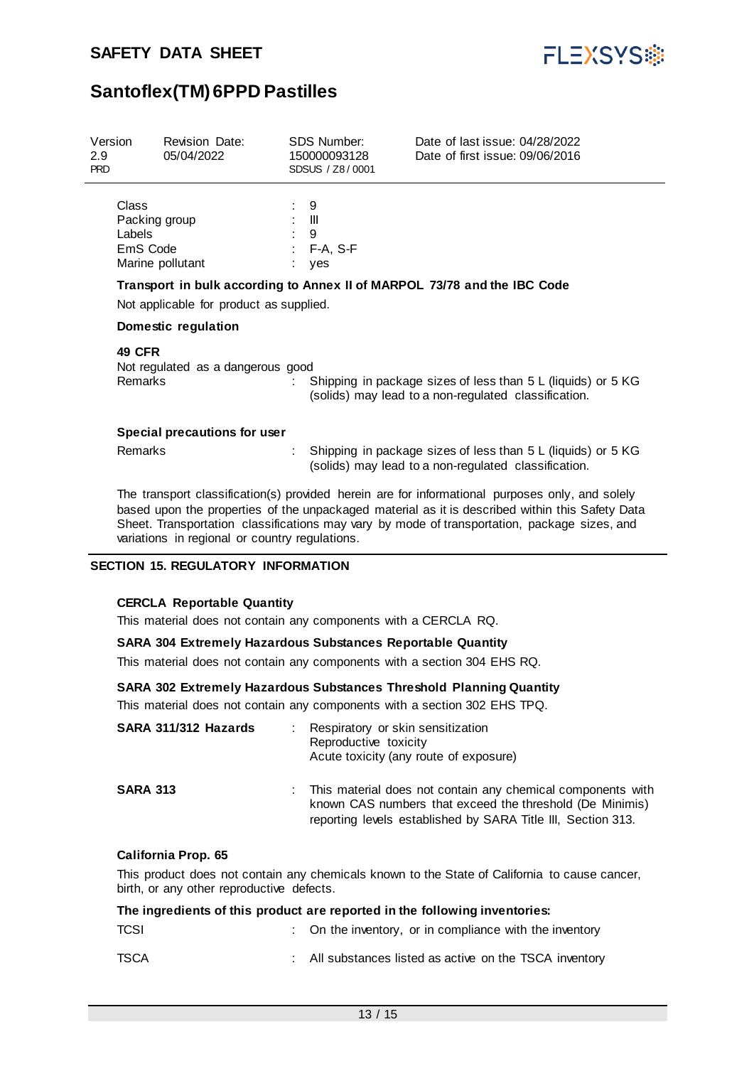

| Version<br>$2.9^{\circ}$<br><b>PRD</b> | <b>Revision Date:</b><br>05/04/2022                              | <b>SDS Number:</b><br>150000093128<br>SDSUS / Z8/0001 | Date of last issue: 04/28/2022<br>Date of first issue: 09/06/2016                                                                                                                                                                                                                                  |
|----------------------------------------|------------------------------------------------------------------|-------------------------------------------------------|----------------------------------------------------------------------------------------------------------------------------------------------------------------------------------------------------------------------------------------------------------------------------------------------------|
|                                        | Class<br>Packing group<br>Labels<br>EmS Code<br>Marine pollutant | 9<br>$\mathbf{m}$<br>9<br>F-A, S-F<br>÷.<br>yes       |                                                                                                                                                                                                                                                                                                    |
|                                        | Not applicable for product as supplied.                          |                                                       | Transport in bulk according to Annex II of MARPOL 73/78 and the IBC Code                                                                                                                                                                                                                           |
|                                        | Domestic regulation                                              |                                                       |                                                                                                                                                                                                                                                                                                    |
|                                        | <b>49 CFR</b><br>Not regulated as a dangerous good<br>Remarks    |                                                       | Shipping in package sizes of less than 5 L (liquids) or 5 KG<br>(solids) may lead to a non-regulated classification.                                                                                                                                                                               |
|                                        | Special precautions for user                                     |                                                       |                                                                                                                                                                                                                                                                                                    |
|                                        | Remarks                                                          |                                                       | Shipping in package sizes of less than 5 L (liquids) or 5 KG<br>(solids) may lead to a non-regulated classification.                                                                                                                                                                               |
|                                        |                                                                  |                                                       | The transport classification(s) provided herein are for informational purposes only, and solely<br>based upon the properties of the unpackaged material as it is described within this Safety Data<br>Sheet. Transportation classifications may vary by mode of transportation, package sizes, and |

variations in regional or country regulations.

#### **SECTION 15. REGULATORY INFORMATION**

#### **CERCLA Reportable Quantity**

This material does not contain any components with a CERCLA RQ.

#### **SARA 304 Extremely Hazardous Substances Reportable Quantity**

This material does not contain any components with a section 304 EHS RQ.

#### **SARA 302 Extremely Hazardous Substances Threshold Planning Quantity**

This material does not contain any components with a section 302 EHS TPQ.

| SARA 311/312 Hazards | : Respiratory or skin sensitization<br>Reproductive toxicity<br>Acute toxicity (any route of exposure)                                                                                  |
|----------------------|-----------------------------------------------------------------------------------------------------------------------------------------------------------------------------------------|
| <b>SARA 313</b>      | This material does not contain any chemical components with<br>known CAS numbers that exceed the threshold (De Minimis)<br>reporting levels established by SARA Title III, Section 313. |

#### **California Prop. 65**

This product does not contain any chemicals known to the State of California to cause cancer, birth, or any other reproductive defects.

| The ingredients of this product are reported in the following inventories: |  |                                                         |  |
|----------------------------------------------------------------------------|--|---------------------------------------------------------|--|
| TCSI                                                                       |  | : On the inventory, or in compliance with the inventory |  |
| TSCA                                                                       |  | All substances listed as active on the TSCA inventory   |  |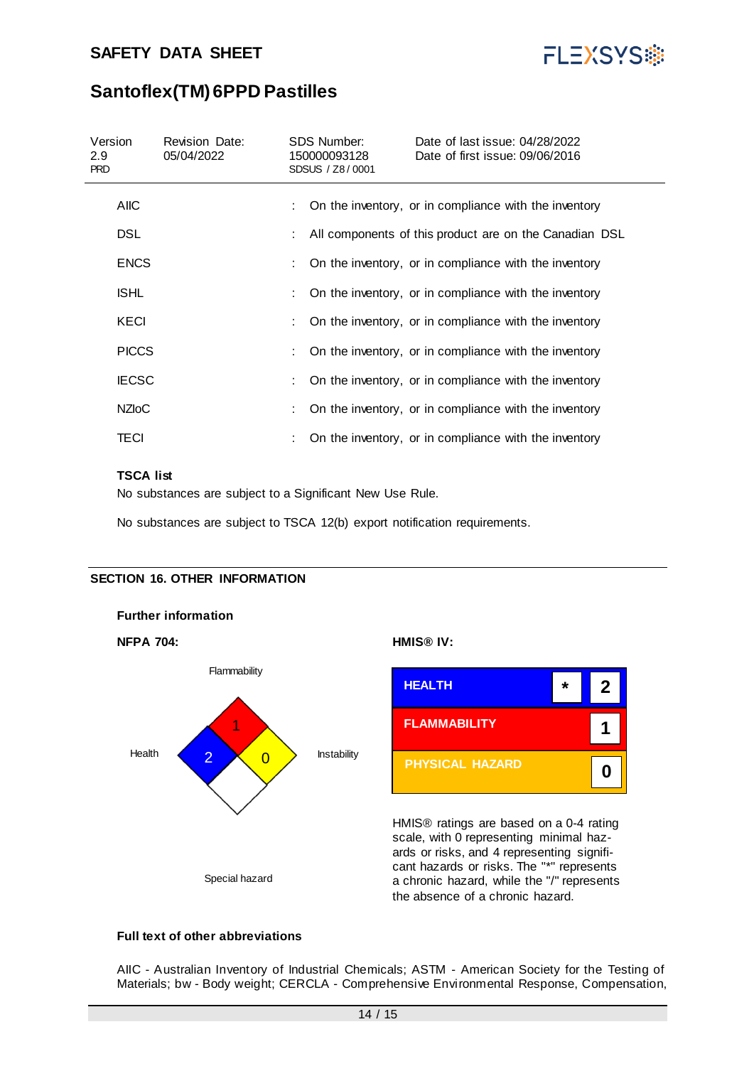

## **Santoflex(TM) 6PPD Pastilles**

| Version<br>2.9<br><b>PRD</b> | <b>Revision Date:</b><br>05/04/2022 | SDS Number:<br>150000093128<br>SDSUS / Z8/0001 | Date of last issue: 04/28/2022<br>Date of first issue: 09/06/2016 |
|------------------------------|-------------------------------------|------------------------------------------------|-------------------------------------------------------------------|
| <b>AIIC</b>                  |                                     |                                                | On the inventory, or in compliance with the inventory             |
| <b>DSL</b>                   |                                     |                                                | All components of this product are on the Canadian DSL            |
| <b>ENCS</b>                  |                                     |                                                | On the inventory, or in compliance with the inventory             |
| <b>ISHL</b>                  |                                     |                                                | On the inventory, or in compliance with the inventory             |
| KECI                         |                                     |                                                | On the inventory, or in compliance with the inventory             |
| <b>PICCS</b>                 |                                     |                                                | On the inventory, or in compliance with the inventory             |
| <b>IECSC</b>                 |                                     |                                                | On the inventory, or in compliance with the inventory             |
| <b>NZIOC</b>                 |                                     |                                                | On the inventory, or in compliance with the inventory             |
| TECI                         |                                     |                                                | On the inventory, or in compliance with the inventory             |

#### **TSCA list**

No substances are subject to a Significant New Use Rule.

No substances are subject to TSCA 12(b) export notification requirements.

#### **SECTION 16. OTHER INFORMATION**

**Further information**





HMIS® ratings are based on a 0-4 rating scale, with 0 representing minimal hazards or risks, and 4 representing significant hazards or risks. The "\*" represents a chronic hazard, while the "/" represents the absence of a chronic hazard.

#### **Full text of other abbreviations**

AIIC - Australian Inventory of Industrial Chemicals; ASTM - American Society for the Testing of Materials; bw - Body weight; CERCLA - Comprehensive Environmental Response, Compensation,